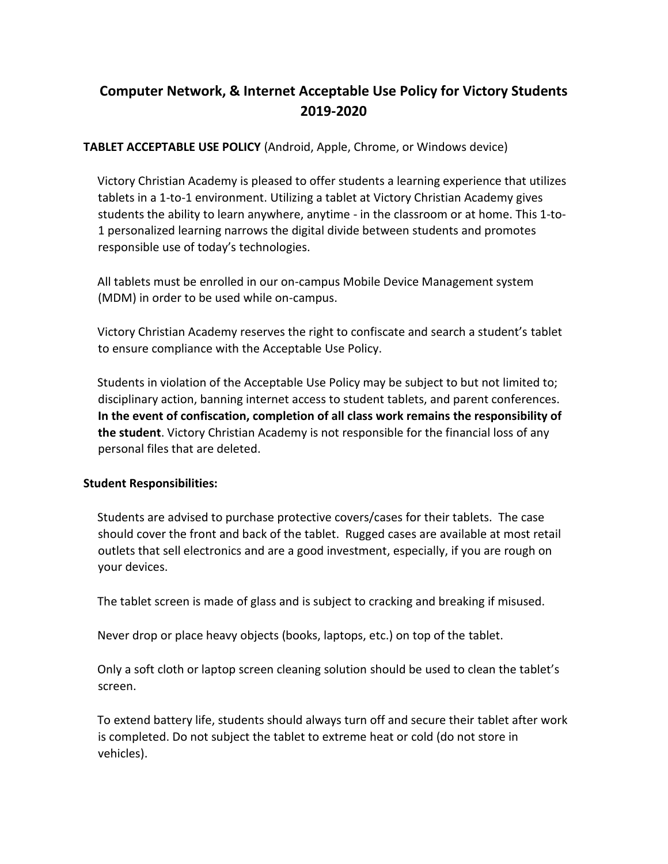# **Computer Network, & Internet Acceptable Use Policy for Victory Students 2019-2020**

## **TABLET ACCEPTABLE USE POLICY** (Android, Apple, Chrome, or Windows device)

Victory Christian Academy is pleased to offer students a learning experience that utilizes tablets in a 1-to-1 environment. Utilizing a tablet at Victory Christian Academy gives students the ability to learn anywhere, anytime - in the classroom or at home. This 1-to-1 personalized learning narrows the digital divide between students and promotes responsible use of today's technologies.

All tablets must be enrolled in our on-campus Mobile Device Management system (MDM) in order to be used while on-campus.

Victory Christian Academy reserves the right to confiscate and search a student's tablet to ensure compliance with the Acceptable Use Policy.

Students in violation of the Acceptable Use Policy may be subject to but not limited to; disciplinary action, banning internet access to student tablets, and parent conferences. **In the event of confiscation, completion of all class work remains the responsibility of the student**. Victory Christian Academy is not responsible for the financial loss of any personal files that are deleted.

#### **Student Responsibilities:**

Students are advised to purchase protective covers/cases for their tablets. The case should cover the front and back of the tablet. Rugged cases are available at most retail outlets that sell electronics and are a good investment, especially, if you are rough on your devices.

The tablet screen is made of glass and is subject to cracking and breaking if misused.

Never drop or place heavy objects (books, laptops, etc.) on top of the tablet.

Only a soft cloth or laptop screen cleaning solution should be used to clean the tablet's screen.

To extend battery life, students should always turn off and secure their tablet after work is completed. Do not subject the tablet to extreme heat or cold (do not store in vehicles).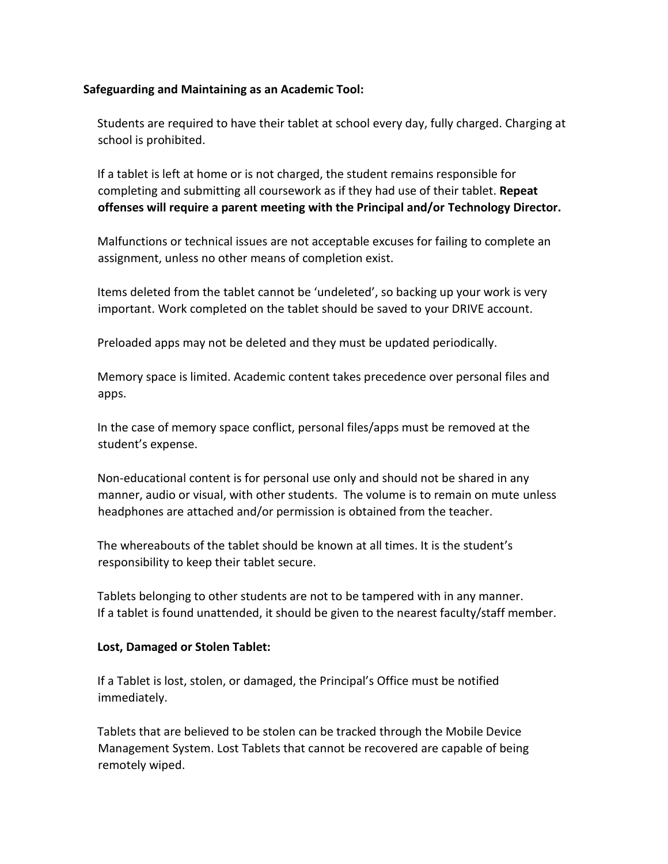## **Safeguarding and Maintaining as an Academic Tool:**

Students are required to have their tablet at school every day, fully charged. Charging at school is prohibited.

If a tablet is left at home or is not charged, the student remains responsible for completing and submitting all coursework as if they had use of their tablet. **Repeat offenses will require a parent meeting with the Principal and/or Technology Director.**

Malfunctions or technical issues are not acceptable excuses for failing to complete an assignment, unless no other means of completion exist.

Items deleted from the tablet cannot be 'undeleted', so backing up your work is very important. Work completed on the tablet should be saved to your DRIVE account.

Preloaded apps may not be deleted and they must be updated periodically.

Memory space is limited. Academic content takes precedence over personal files and apps.

In the case of memory space conflict, personal files/apps must be removed at the student's expense.

Non-educational content is for personal use only and should not be shared in any manner, audio or visual, with other students. The volume is to remain on mute unless headphones are attached and/or permission is obtained from the teacher.

The whereabouts of the tablet should be known at all times. It is the student's responsibility to keep their tablet secure.

Tablets belonging to other students are not to be tampered with in any manner. If a tablet is found unattended, it should be given to the nearest faculty/staff member.

#### **Lost, Damaged or Stolen Tablet:**

If a Tablet is lost, stolen, or damaged, the Principal's Office must be notified immediately.

Tablets that are believed to be stolen can be tracked through the Mobile Device Management System. Lost Tablets that cannot be recovered are capable of being remotely wiped.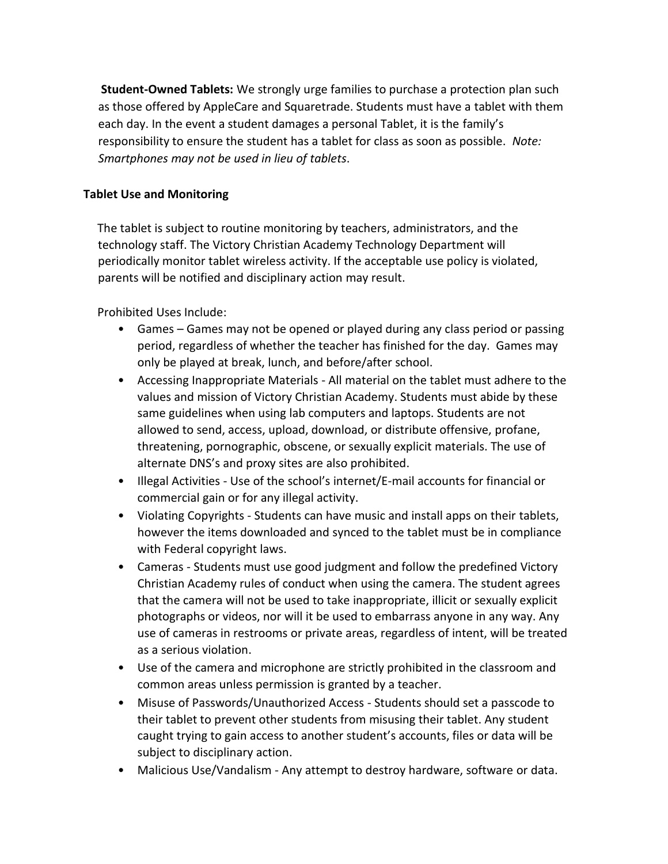**Student-Owned Tablets:** We strongly urge families to purchase a protection plan such as those offered by AppleCare and Squaretrade. Students must have a tablet with them each day. In the event a student damages a personal Tablet, it is the family's responsibility to ensure the student has a tablet for class as soon as possible. *Note: Smartphones may not be used in lieu of tablets*.

#### **Tablet Use and Monitoring**

The tablet is subject to routine monitoring by teachers, administrators, and the technology staff. The Victory Christian Academy Technology Department will periodically monitor tablet wireless activity. If the acceptable use policy is violated, parents will be notified and disciplinary action may result.

Prohibited Uses Include:

- Games Games may not be opened or played during any class period or passing period, regardless of whether the teacher has finished for the day. Games may only be played at break, lunch, and before/after school.
- Accessing Inappropriate Materials All material on the tablet must adhere to the values and mission of Victory Christian Academy. Students must abide by these same guidelines when using lab computers and laptops. Students are not allowed to send, access, upload, download, or distribute offensive, profane, threatening, pornographic, obscene, or sexually explicit materials. The use of alternate DNS's and proxy sites are also prohibited.
- Illegal Activities Use of the school's internet/E-mail accounts for financial or commercial gain or for any illegal activity.
- Violating Copyrights Students can have music and install apps on their tablets, however the items downloaded and synced to the tablet must be in compliance with Federal copyright laws.
- Cameras Students must use good judgment and follow the predefined Victory Christian Academy rules of conduct when using the camera. The student agrees that the camera will not be used to take inappropriate, illicit or sexually explicit photographs or videos, nor will it be used to embarrass anyone in any way. Any use of cameras in restrooms or private areas, regardless of intent, will be treated as a serious violation.
- Use of the camera and microphone are strictly prohibited in the classroom and common areas unless permission is granted by a teacher.
- Misuse of Passwords/Unauthorized Access Students should set a passcode to their tablet to prevent other students from misusing their tablet. Any student caught trying to gain access to another student's accounts, files or data will be subject to disciplinary action.
- Malicious Use/Vandalism Any attempt to destroy hardware, software or data.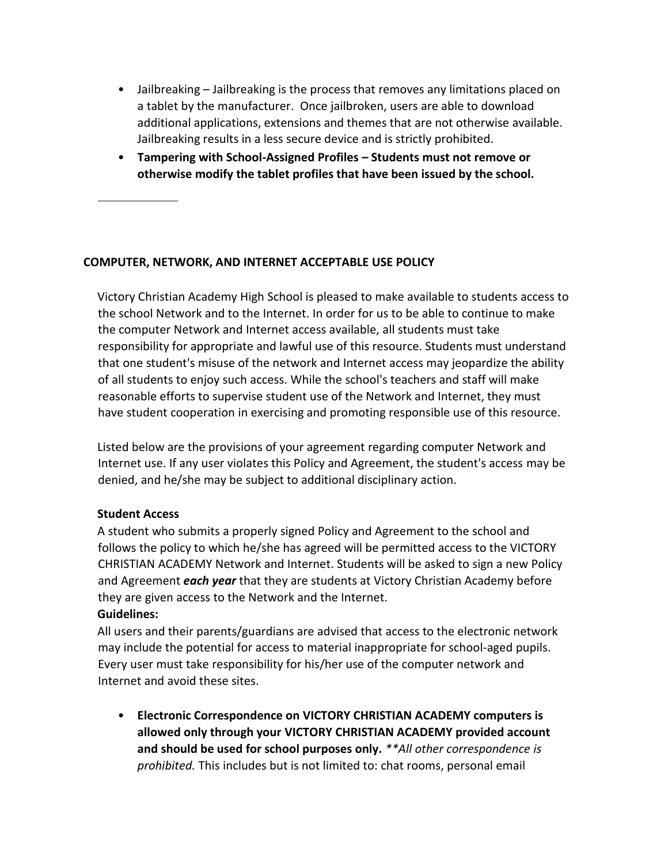- Jailbreaking Jailbreaking is the process that removes any limitations placed on a tablet by the manufacturer. Once jailbroken, users are able to download additional applications, extensions and themes that are not otherwise available. Jailbreaking results in a less secure device and is strictly prohibited.
- **Tampering with School-Assigned Profiles – Students must not remove or otherwise modify the tablet profiles that have been issued by the school.**

#### **COMPUTER, NETWORK, AND INTERNET ACCEPTABLE USE POLICY**

Victory Christian Academy High School is pleased to make available to students access to the school Network and to the Internet. In order for us to be able to continue to make the computer Network and Internet access available, all students must take responsibility for appropriate and lawful use of this resource. Students must understand that one student's misuse of the network and Internet access may jeopardize the ability of all students to enjoy such access. While the school's teachers and staff will make reasonable efforts to supervise student use of the Network and Internet, they must have student cooperation in exercising and promoting responsible use of this resource.

Listed below are the provisions of your agreement regarding computer Network and Internet use. If any user violates this Policy and Agreement, the student's access may be denied, and he/she may be subject to additional disciplinary action.

#### **Student Access**

A student who submits a properly signed Policy and Agreement to the school and follows the policy to which he/she has agreed will be permitted access to the VICTORY CHRISTIAN ACADEMY Network and Internet. Students will be asked to sign a new Policy and Agreement *each year* that they are students at Victory Christian Academy before they are given access to the Network and the Internet.

#### **Guidelines:**

All users and their parents/guardians are advised that access to the electronic network may include the potential for access to material inappropriate for school-aged pupils. Every user must take responsibility for his/her use of the computer network and Internet and avoid these sites.

• **Electronic Correspondence on VICTORY CHRISTIAN ACADEMY computers is allowed only through your VICTORY CHRISTIAN ACADEMY provided account and should be used for school purposes only.** *\*\*All other correspondence is prohibited.* This includes but is not limited to: chat rooms, personal email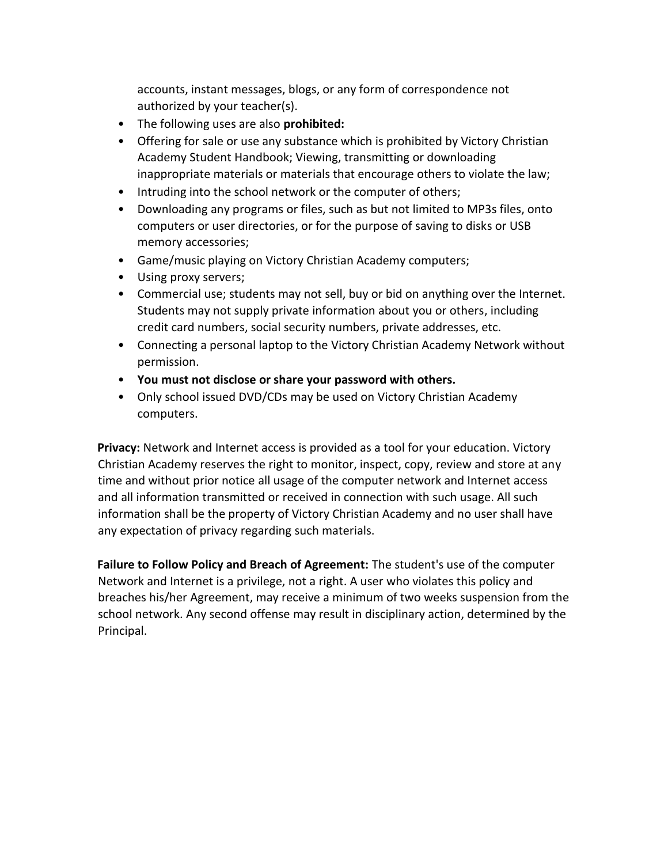accounts, instant messages, blogs, or any form of correspondence not authorized by your teacher(s).

- The following uses are also **prohibited:**
- Offering for sale or use any substance which is prohibited by Victory Christian Academy Student Handbook; Viewing, transmitting or downloading inappropriate materials or materials that encourage others to violate the law;
- Intruding into the school network or the computer of others;
- Downloading any programs or files, such as but not limited to MP3s files, onto computers or user directories, or for the purpose of saving to disks or USB memory accessories;
- Game/music playing on Victory Christian Academy computers;
- Using proxy servers;
- Commercial use; students may not sell, buy or bid on anything over the Internet. Students may not supply private information about you or others, including credit card numbers, social security numbers, private addresses, etc.
- Connecting a personal laptop to the Victory Christian Academy Network without permission.
- **You must not disclose or share your password with others.**
- Only school issued DVD/CDs may be used on Victory Christian Academy computers.

**Privacy:** Network and Internet access is provided as a tool for your education. Victory Christian Academy reserves the right to monitor, inspect, copy, review and store at any time and without prior notice all usage of the computer network and Internet access and all information transmitted or received in connection with such usage. All such information shall be the property of Victory Christian Academy and no user shall have any expectation of privacy regarding such materials.

**Failure to Follow Policy and Breach of Agreement:** The student's use of the computer Network and Internet is a privilege, not a right. A user who violates this policy and breaches his/her Agreement, may receive a minimum of two weeks suspension from the school network. Any second offense may result in disciplinary action, determined by the Principal.